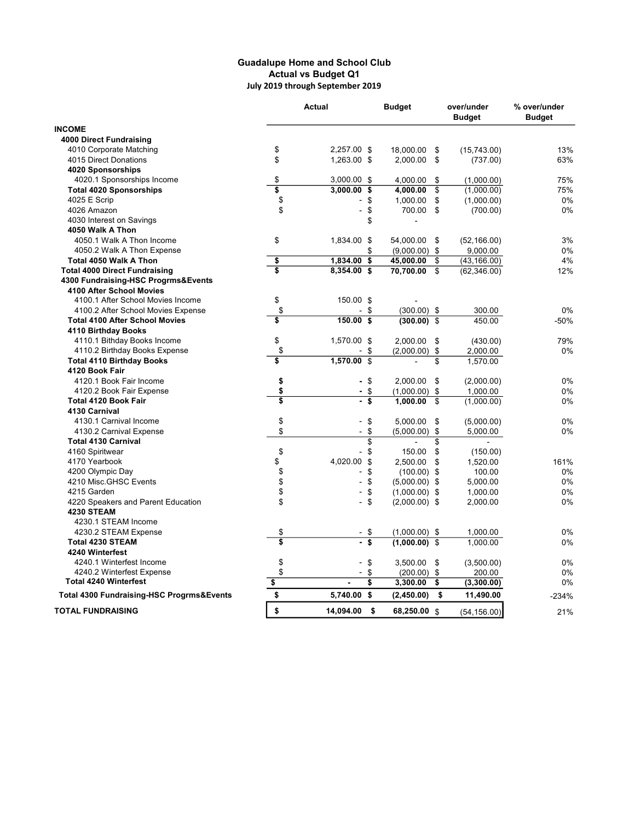## Guadalupe Home and School Club Actual vs Budget Q1 July 2019 through September 2019

|                                           | <b>Actual</b>             |                                | <b>Budget</b>   |                | over/under<br><b>Budget</b> | % over/under<br><b>Budget</b> |
|-------------------------------------------|---------------------------|--------------------------------|-----------------|----------------|-----------------------------|-------------------------------|
| <b>INCOME</b>                             |                           |                                |                 |                |                             |                               |
| <b>4000 Direct Fundraising</b>            |                           |                                |                 |                |                             |                               |
| 4010 Corporate Matching                   | \$                        | 2,257.00 \$                    | 18.000.00       | \$             | (15,743.00)                 | 13%                           |
| 4015 Direct Donations                     | \$                        | 1,263.00 \$                    | 2,000.00        | \$             | (737.00)                    | 63%                           |
| 4020 Sponsorships                         |                           |                                |                 |                |                             |                               |
| 4020.1 Sponsorships Income                | \$                        | 3,000.00 \$                    | 4,000.00        | \$             | (1,000.00)                  | 75%                           |
| <b>Total 4020 Sponsorships</b>            | $\overline{\mathfrak{s}}$ | 3,000.00<br>\$                 | 4,000.00        | \$             | (1,000.00)                  | 75%                           |
| 4025 E Scrip                              | \$                        | \$                             | 1,000.00        | \$             | (1,000.00)                  | 0%                            |
| 4026 Amazon                               | \$                        | \$<br>$\frac{1}{2}$            | 700.00          | \$             | (700.00)                    | $0\%$                         |
| 4030 Interest on Savings                  |                           | \$                             |                 |                |                             |                               |
| 4050 Walk A Thon                          |                           |                                |                 |                |                             |                               |
| 4050.1 Walk A Thon Income                 | \$                        | 1,834.00 \$                    | 54,000.00       | \$             | (52, 166.00)                | 3%                            |
| 4050.2 Walk A Thon Expense                |                           | \$                             | $(9,000.00)$ \$ |                | 9,000.00                    | 0%                            |
| Total 4050 Walk A Thon                    | \$                        | 1,834.00<br>\$                 | 45,000.00       | \$             | (43, 166.00)                | 4%                            |
| <b>Total 4000 Direct Fundraising</b>      | Ŝ                         | 8,354.00 \$                    | 70,700.00       | \$             | (62, 346.00)                | 12%                           |
| 4300 Fundraising-HSC Progrms&Events       |                           |                                |                 |                |                             |                               |
| 4100 After School Movies                  |                           |                                |                 |                |                             |                               |
| 4100.1 After School Movies Income         | \$                        | 150.00 \$                      |                 |                |                             |                               |
| 4100.2 After School Movies Expense        | \$                        | \$<br>$\overline{a}$           | $(300.00)$ \$   |                | 300.00                      | 0%                            |
| <b>Total 4100 After School Movies</b>     | \$                        | $150.00$ \$                    | (300.00)        | \$             | 450.00                      | $-50%$                        |
| 4110 Birthday Books                       |                           |                                |                 |                |                             |                               |
| 4110.1 Bithday Books Income               | \$                        | 1,570.00 \$                    | 2,000.00        | \$             | (430.00)                    | 79%                           |
| 4110.2 Birthday Books Expense             | \$                        | \$                             | $(2,000.00)$ \$ |                | 2,000.00                    | 0%                            |
| <b>Total 4110 Birthday Books</b>          | \$                        | 1,570.00<br>$\mathbf{\hat{s}}$ |                 | \$             | 1,570.00                    |                               |
| 4120 Book Fair                            |                           |                                |                 |                |                             |                               |
| 4120.1 Book Fair Income                   | \$                        | - \$                           | 2,000.00        | \$             | (2,000.00)                  | 0%                            |
| 4120.2 Book Fair Expense                  | \$                        | \$<br>$\overline{\phantom{0}}$ | $(1,000.00)$ \$ |                | 1,000.00                    | 0%                            |
| <b>Total 4120 Book Fair</b>               | 3                         | $\overline{\mathbf{s}}$<br>L.  | 1,000.00        | \$             | (1,000.00)                  | 0%                            |
| 4130 Carnival                             |                           |                                |                 |                |                             |                               |
| 4130.1 Carnival Income                    | \$                        | \$                             | 5,000.00        | \$             | (5,000.00)                  | 0%                            |
| 4130.2 Carnival Expense                   | \$                        | \$<br>-                        | (5,000.00)      | \$             | 5,000.00                    | 0%                            |
| <b>Total 4130 Carnival</b>                |                           | \$                             |                 | \$             |                             |                               |
| 4160 Spiritwear                           | \$                        | \$<br>$\overline{a}$           | 150.00          | \$             | (150.00)                    |                               |
| 4170 Yearbook                             | \$                        | 4,020.00<br>\$                 | 2,500.00        | \$             | 1,520.00                    | 161%                          |
| 4200 Olympic Day                          | \$                        | \$<br>$\overline{a}$           | $(100.00)$ \$   |                | 100.00                      | 0%                            |
| 4210 Misc.GHSC Events                     | \$                        | \$<br>$\overline{a}$           | $(5,000.00)$ \$ |                | 5,000.00                    | 0%                            |
| 4215 Garden                               | \$                        | \$<br>-                        | $(1,000.00)$ \$ |                | 1,000.00                    | 0%                            |
| 4220 Speakers and Parent Education        | \$                        | \$<br>$\overline{\phantom{0}}$ | $(2,000.00)$ \$ |                | 2,000.00                    | 0%                            |
| <b>4230 STEAM</b>                         |                           |                                |                 |                |                             |                               |
| 4230.1 STEAM Income                       |                           |                                |                 |                |                             |                               |
| 4230.2 STEAM Expense                      | \$                        | \$                             | $(1,000.00)$ \$ |                | 1,000.00                    | 0%                            |
| <b>Total 4230 STEAM</b>                   | \$                        | \$                             | (1,000.00)      | $\mathfrak{S}$ | 1,000.00                    | 0%                            |
| 4240 Winterfest                           |                           |                                |                 |                |                             |                               |
| 4240.1 Winterfest Income                  | \$                        | \$<br>$\overline{a}$           | 3,500.00        | \$             | (3,500.00)                  | 0%                            |
| 4240.2 Winterfest Expense                 | \$                        | \$<br>$\overline{a}$           | $(200.00)$ \$   |                | 200.00                      | 0%                            |
| <b>Total 4240 Winterfest</b>              | \$                        | \$                             | 3,300.00        | \$             | (3,300.00)                  | 0%                            |
| Total 4300 Fundraising-HSC Progrms&Events | \$                        | 5,740.00<br>\$                 | (2,450.00)      | \$             | 11,490.00                   | $-234%$                       |
| <b>TOTAL FUNDRAISING</b>                  | \$                        | 14,094.00<br>- \$              | 68,250.00 \$    |                | (54, 156.00)                | 21%                           |